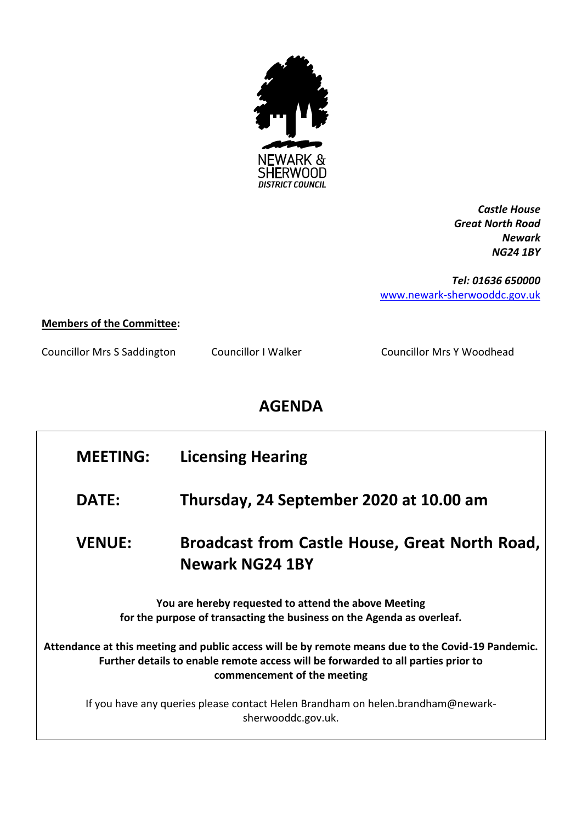

*Castle House Great North Road Newark NG24 1BY*

*Tel: 01636 650000* [www.newark-sherwooddc.gov.uk](http://www.newark-sherwooddc.gov.uk/)

## **Members of the Committee:**

Councillor Mrs S Saddington Councillor I Walker Councillor Mrs Y Woodhead

## **AGENDA**

| <b>MEETING:</b>                                                                                                                                                                                                        | <b>Licensing Hearing</b>                                                        |  |  |
|------------------------------------------------------------------------------------------------------------------------------------------------------------------------------------------------------------------------|---------------------------------------------------------------------------------|--|--|
| <b>DATE:</b>                                                                                                                                                                                                           | Thursday, 24 September 2020 at 10.00 am                                         |  |  |
| <b>VENUE:</b>                                                                                                                                                                                                          | <b>Broadcast from Castle House, Great North Road,</b><br><b>Newark NG24 1BY</b> |  |  |
| You are hereby requested to attend the above Meeting<br>for the purpose of transacting the business on the Agenda as overleaf.                                                                                         |                                                                                 |  |  |
| Attendance at this meeting and public access will be by remote means due to the Covid-19 Pandemic.<br>Further details to enable remote access will be forwarded to all parties prior to<br>commencement of the meeting |                                                                                 |  |  |
| If you have any queries please contact Helen Brandham on helen.brandham@newark-<br>sherwooddc.gov.uk.                                                                                                                  |                                                                                 |  |  |